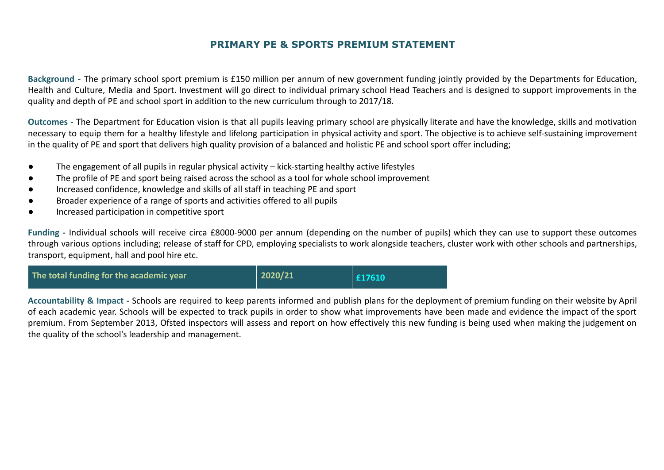**Background -** The primary school sport premium is £150 million per annum of new government funding jointly provided by the Departments for Education, Health and Culture, Media and Sport. Investment will go direct to individual primary school Head Teachers and is designed to support improvements in the quality and depth of PE and school sport in addition to the new curriculum through to 2017/18.

**Outcomes -** The Department for Education vision is that all pupils leaving primary school are physically literate and have the knowledge, skills and motivation necessary to equip them for a healthy lifestyle and lifelong participation in physical activity and sport. The objective is to achieve self-sustaining improvement in the quality of PE and sport that delivers high quality provision of a balanced and holistic PE and school sport offer including;

- The engagement of all pupils in regular physical activity kick-starting healthy active lifestyles
- The profile of PE and sport being raised across the school as a tool for whole school improvement
- Increased confidence, knowledge and skills of all staff in teaching PE and sport
- Broader experience of a range of sports and activities offered to all pupils
- Increased participation in competitive sport

**Funding -** Individual schools will receive circa £8000-9000 per annum (depending on the number of pupils) which they can use to support these outcomes through various options including; release of staff for CPD, employing specialists to work alongside teachers, cluster work with other schools and partnerships, transport, equipment, hall and pool hire etc.



**Accountability & Impact -** Schools are required to keep parents informed and publish plans for the deployment of premium funding on their website by April of each academic year. Schools will be expected to track pupils in order to show what improvements have been made and [evidence](http://www.cornwallsportspartnership.co.uk/) the impact of the sport premium. From September 2013, [Ofsted](http://www.ofsted.gov.uk/inspection-reports/our-expert-knowledge/physical-education) inspectors will assess and report on how effectively this new funding is being used when making the judgement on the quality of the school's leadership and management.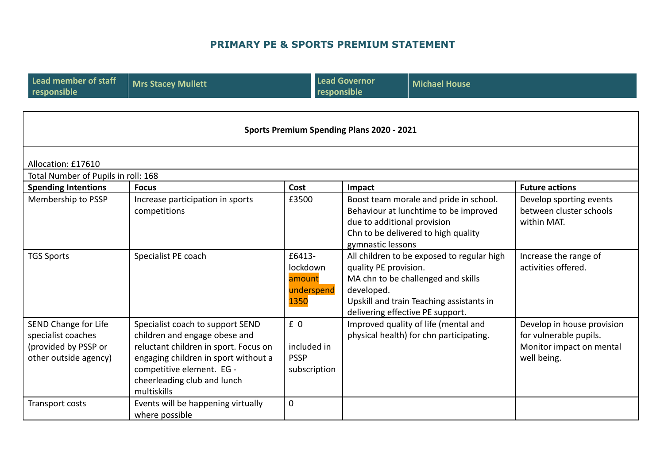| <b>Lead member of staff</b><br>responsible                                                  | <b>Mrs Stacey Mullett</b>                                                                                                                                                                                                     |                                                    | <b>Lead Governor</b><br>responsible              | <b>Michael House</b>                                                                                                                                                                                                                      |                                                                                                 |  |
|---------------------------------------------------------------------------------------------|-------------------------------------------------------------------------------------------------------------------------------------------------------------------------------------------------------------------------------|----------------------------------------------------|--------------------------------------------------|-------------------------------------------------------------------------------------------------------------------------------------------------------------------------------------------------------------------------------------------|-------------------------------------------------------------------------------------------------|--|
| <b>Sports Premium Spending Plans 2020 - 2021</b>                                            |                                                                                                                                                                                                                               |                                                    |                                                  |                                                                                                                                                                                                                                           |                                                                                                 |  |
| Allocation: £17610                                                                          |                                                                                                                                                                                                                               |                                                    |                                                  |                                                                                                                                                                                                                                           |                                                                                                 |  |
| Total Number of Pupils in roll: 168                                                         |                                                                                                                                                                                                                               |                                                    |                                                  |                                                                                                                                                                                                                                           |                                                                                                 |  |
| <b>Spending Intentions</b>                                                                  | <b>Focus</b>                                                                                                                                                                                                                  | Cost                                               | Impact                                           |                                                                                                                                                                                                                                           | <b>Future actions</b>                                                                           |  |
| Membership to PSSP                                                                          | Increase participation in sports<br>competitions                                                                                                                                                                              | £3500                                              | due to additional provision<br>gymnastic lessons | Boost team morale and pride in school.<br>Behaviour at lunchtime to be improved<br>Chn to be delivered to high quality                                                                                                                    | Develop sporting events<br>between cluster schools<br>within MAT.                               |  |
| <b>TGS Sports</b>                                                                           | Specialist PE coach                                                                                                                                                                                                           | £6413-<br>lockdown<br>amount<br>underspend<br>1350 | developed.                                       | All children to be exposed to regular high<br>Increase the range of<br>activities offered.<br>quality PE provision.<br>MA chn to be challenged and skills<br>Upskill and train Teaching assistants in<br>delivering effective PE support. |                                                                                                 |  |
| SEND Change for Life<br>specialist coaches<br>(provided by PSSP or<br>other outside agency) | Specialist coach to support SEND<br>children and engage obese and<br>reluctant children in sport. Focus on<br>engaging children in sport without a<br>competitive element. EG -<br>cheerleading club and lunch<br>multiskills | £0<br>included in<br><b>PSSP</b><br>subscription   |                                                  | Improved quality of life (mental and<br>physical health) for chn participating.                                                                                                                                                           | Develop in house provision<br>for vulnerable pupils.<br>Monitor impact on mental<br>well being. |  |
| Transport costs                                                                             | Events will be happening virtually<br>where possible                                                                                                                                                                          | $\mathbf 0$                                        |                                                  |                                                                                                                                                                                                                                           |                                                                                                 |  |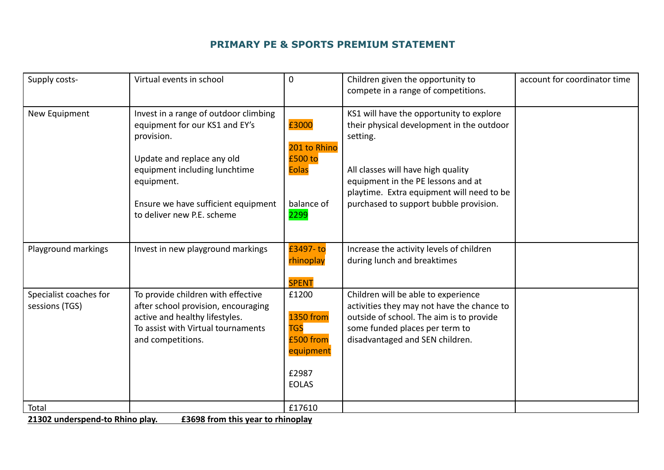| Supply costs-                            | Virtual events in school                                                                                                                                                                                                                | $\mathbf 0$                                                                                | Children given the opportunity to<br>compete in a range of competitions.                                                                                                                                                                                             | account for coordinator time |
|------------------------------------------|-----------------------------------------------------------------------------------------------------------------------------------------------------------------------------------------------------------------------------------------|--------------------------------------------------------------------------------------------|----------------------------------------------------------------------------------------------------------------------------------------------------------------------------------------------------------------------------------------------------------------------|------------------------------|
| New Equipment                            | Invest in a range of outdoor climbing<br>equipment for our KS1 and EY's<br>provision.<br>Update and replace any old<br>equipment including lunchtime<br>equipment.<br>Ensure we have sufficient equipment<br>to deliver new P.E. scheme | £3000<br>201 to Rhino<br>£500 to<br><b>Eolas</b><br>balance of<br>2299                     | KS1 will have the opportunity to explore<br>their physical development in the outdoor<br>setting.<br>All classes will have high quality<br>equipment in the PE lessons and at<br>playtime. Extra equipment will need to be<br>purchased to support bubble provision. |                              |
| Playground markings                      | Invest in new playground markings                                                                                                                                                                                                       | £3497-to<br>rhinoplay<br><b>SPENT</b>                                                      | Increase the activity levels of children<br>during lunch and breaktimes                                                                                                                                                                                              |                              |
| Specialist coaches for<br>sessions (TGS) | To provide children with effective<br>after school provision, encouraging<br>active and healthy lifestyles.<br>To assist with Virtual tournaments<br>and competitions.                                                                  | £1200<br><b>1350 from</b><br><b>TGS</b><br>£500 from<br>equipment<br>£2987<br><b>EOLAS</b> | Children will be able to experience<br>activities they may not have the chance to<br>outside of school. The aim is to provide<br>some funded places per term to<br>disadvantaged and SEN children.                                                                   |                              |
| Total                                    |                                                                                                                                                                                                                                         | £17610                                                                                     |                                                                                                                                                                                                                                                                      |                              |

**21302 underspend-to Rhino play. £3698 from this year to rhinoplay**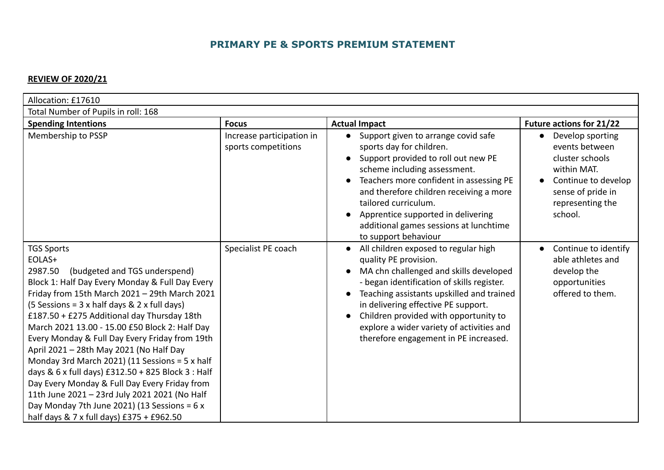#### **REVIEW OF 2020/21**

| Allocation: £17610                                                                                                                                                                                                                                                                                                                                                                                                                                                                                                                                                                                                                                                                                                                  |                                                  |                                                                                                                                                                                                                                                                                                                                                                                                                 |                                                                                                                                                 |
|-------------------------------------------------------------------------------------------------------------------------------------------------------------------------------------------------------------------------------------------------------------------------------------------------------------------------------------------------------------------------------------------------------------------------------------------------------------------------------------------------------------------------------------------------------------------------------------------------------------------------------------------------------------------------------------------------------------------------------------|--------------------------------------------------|-----------------------------------------------------------------------------------------------------------------------------------------------------------------------------------------------------------------------------------------------------------------------------------------------------------------------------------------------------------------------------------------------------------------|-------------------------------------------------------------------------------------------------------------------------------------------------|
| Total Number of Pupils in roll: 168                                                                                                                                                                                                                                                                                                                                                                                                                                                                                                                                                                                                                                                                                                 |                                                  |                                                                                                                                                                                                                                                                                                                                                                                                                 |                                                                                                                                                 |
| <b>Spending Intentions</b>                                                                                                                                                                                                                                                                                                                                                                                                                                                                                                                                                                                                                                                                                                          | <b>Focus</b>                                     | <b>Actual Impact</b>                                                                                                                                                                                                                                                                                                                                                                                            | <b>Future actions for 21/22</b>                                                                                                                 |
| Membership to PSSP                                                                                                                                                                                                                                                                                                                                                                                                                                                                                                                                                                                                                                                                                                                  | Increase participation in<br>sports competitions | Support given to arrange covid safe<br>$\bullet$<br>sports day for children.<br>Support provided to roll out new PE<br>scheme including assessment.<br>Teachers more confident in assessing PE<br>and therefore children receiving a more<br>tailored curriculum.<br>Apprentice supported in delivering<br>additional games sessions at lunchtime<br>to support behaviour                                       | Develop sporting<br>events between<br>cluster schools<br>within MAT.<br>Continue to develop<br>sense of pride in<br>representing the<br>school. |
| <b>TGS Sports</b><br>EOLAS+<br>2987.50<br>(budgeted and TGS underspend)<br>Block 1: Half Day Every Monday & Full Day Every<br>Friday from 15th March 2021 - 29th March 2021<br>$(5$ Sessions = 3 x half days & 2 x full days)<br>£187.50 + £275 Additional day Thursday 18th<br>March 2021 13.00 - 15.00 £50 Block 2: Half Day<br>Every Monday & Full Day Every Friday from 19th<br>April 2021 - 28th May 2021 (No Half Day<br>Monday 3rd March 2021) (11 Sessions = 5 x half<br>days & 6 x full days) £312.50 + 825 Block 3 : Half<br>Day Every Monday & Full Day Every Friday from<br>11th June 2021 - 23rd July 2021 2021 (No Half<br>Day Monday 7th June 2021) (13 Sessions = $6x$<br>half days & 7 x full days) £375 + £962.50 | Specialist PE coach                              | All children exposed to regular high<br>$\bullet$<br>quality PE provision.<br>MA chn challenged and skills developed<br>$\bullet$<br>- began identification of skills register.<br>Teaching assistants upskilled and trained<br>$\bullet$<br>in delivering effective PE support.<br>Children provided with opportunity to<br>explore a wider variety of activities and<br>therefore engagement in PE increased. | Continue to identify<br>able athletes and<br>develop the<br>opportunities<br>offered to them.                                                   |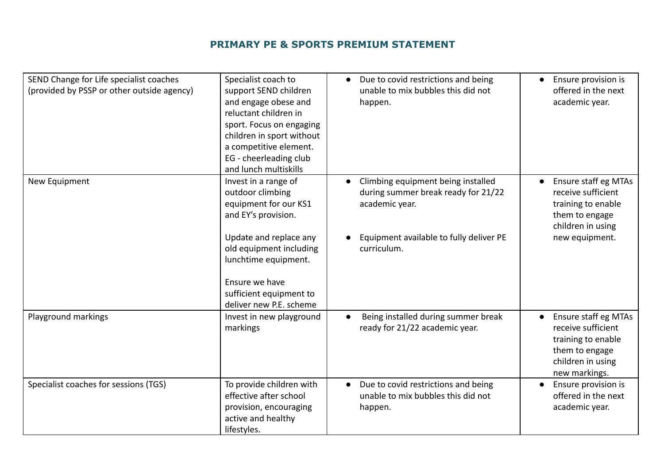| SEND Change for Life specialist coaches<br>(provided by PSSP or other outside agency) | Specialist coach to<br>support SEND children<br>and engage obese and<br>reluctant children in<br>sport. Focus on engaging<br>children in sport without<br>a competitive element.<br>EG - cheerleading club<br>and lunch multiskills           | Due to covid restrictions and being<br>$\bullet$<br>unable to mix bubbles this did not<br>happen.                                                                  | Ensure provision is<br>offered in the next<br>academic year.                                                              |
|---------------------------------------------------------------------------------------|-----------------------------------------------------------------------------------------------------------------------------------------------------------------------------------------------------------------------------------------------|--------------------------------------------------------------------------------------------------------------------------------------------------------------------|---------------------------------------------------------------------------------------------------------------------------|
| New Equipment                                                                         | Invest in a range of<br>outdoor climbing<br>equipment for our KS1<br>and EY's provision.<br>Update and replace any<br>old equipment including<br>lunchtime equipment.<br>Ensure we have<br>sufficient equipment to<br>deliver new P.E. scheme | Climbing equipment being installed<br>$\bullet$<br>during summer break ready for 21/22<br>academic year.<br>Equipment available to fully deliver PE<br>curriculum. | Ensure staff eg MTAs<br>receive sufficient<br>training to enable<br>them to engage<br>children in using<br>new equipment. |
| Playground markings                                                                   | Invest in new playground<br>markings                                                                                                                                                                                                          | Being installed during summer break<br>$\bullet$<br>ready for 21/22 academic year.                                                                                 | Ensure staff eg MTAs<br>receive sufficient<br>training to enable<br>them to engage<br>children in using<br>new markings.  |
| Specialist coaches for sessions (TGS)                                                 | To provide children with<br>effective after school<br>provision, encouraging<br>active and healthy<br>lifestyles.                                                                                                                             | Due to covid restrictions and being<br>$\bullet$<br>unable to mix bubbles this did not<br>happen.                                                                  | Ensure provision is<br>offered in the next<br>academic year.                                                              |